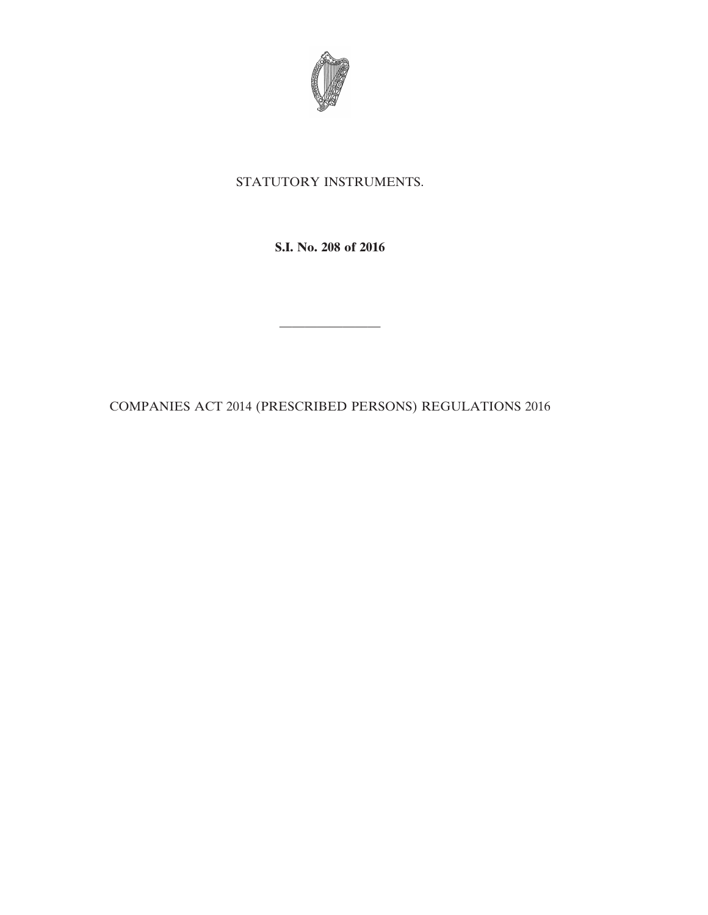

## STATUTORY INSTRUMENTS.

**S.I. No. 208 of 2016**

COMPANIES ACT 2014 (PRESCRIBED PERSONS) REGULATIONS 2016

————————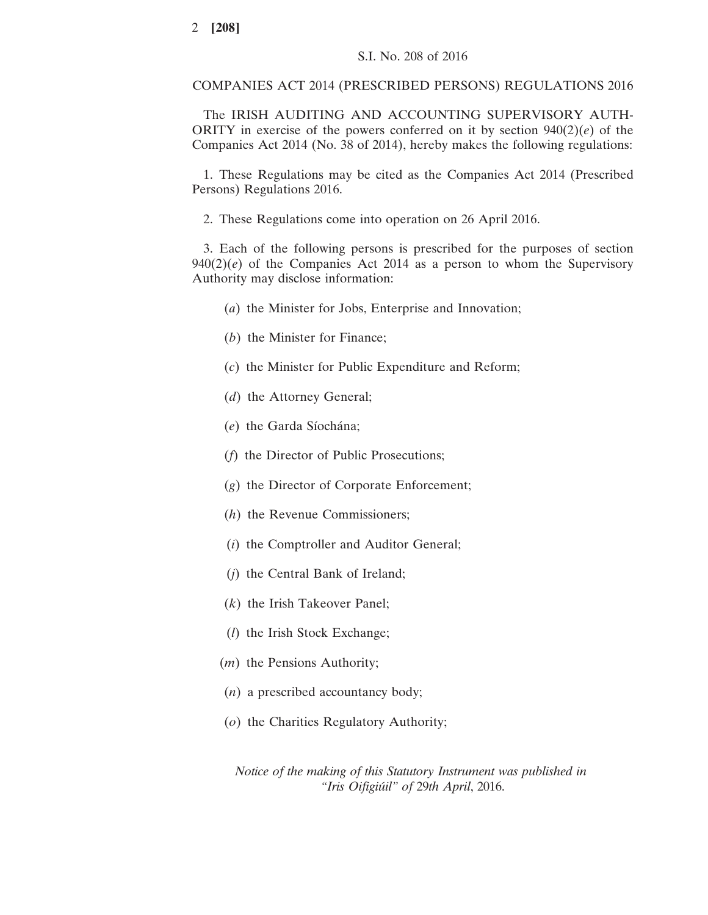COMPANIES ACT 2014 (PRESCRIBED PERSONS) REGULATIONS 2016

The IRISH AUDITING AND ACCOUNTING SUPERVISORY AUTH-ORITY in exercise of the powers conferred on it by section 940(2)(*e*) of the Companies Act 2014 (No. 38 of 2014), hereby makes the following regulations:

1. These Regulations may be cited as the Companies Act 2014 (Prescribed Persons) Regulations 2016.

2. These Regulations come into operation on 26 April 2016.

3. Each of the following persons is prescribed for the purposes of section  $940(2)(e)$  of the Companies Act 2014 as a person to whom the Supervisory Authority may disclose information:

- (*a*) the Minister for Jobs, Enterprise and Innovation;
- (*b*) the Minister for Finance;
- (*c*) the Minister for Public Expenditure and Reform;
- (*d*) the Attorney General;
- (*e*) the Garda Síochána;
- (*f*) the Director of Public Prosecutions;
- (*g*) the Director of Corporate Enforcement;
- (*h*) the Revenue Commissioners;
- (*i*) the Comptroller and Auditor General;
- (*j*) the Central Bank of Ireland;
- (*k*) the Irish Takeover Panel;
- (*l*) the Irish Stock Exchange;
- (*m*) the Pensions Authority;
- (*n*) a prescribed accountancy body;
- (*o*) the Charities Regulatory Authority;

*Notice of the making of this Statutory Instrument was published in "Iris Oifigiu´il" of* 29*th April*, 2016.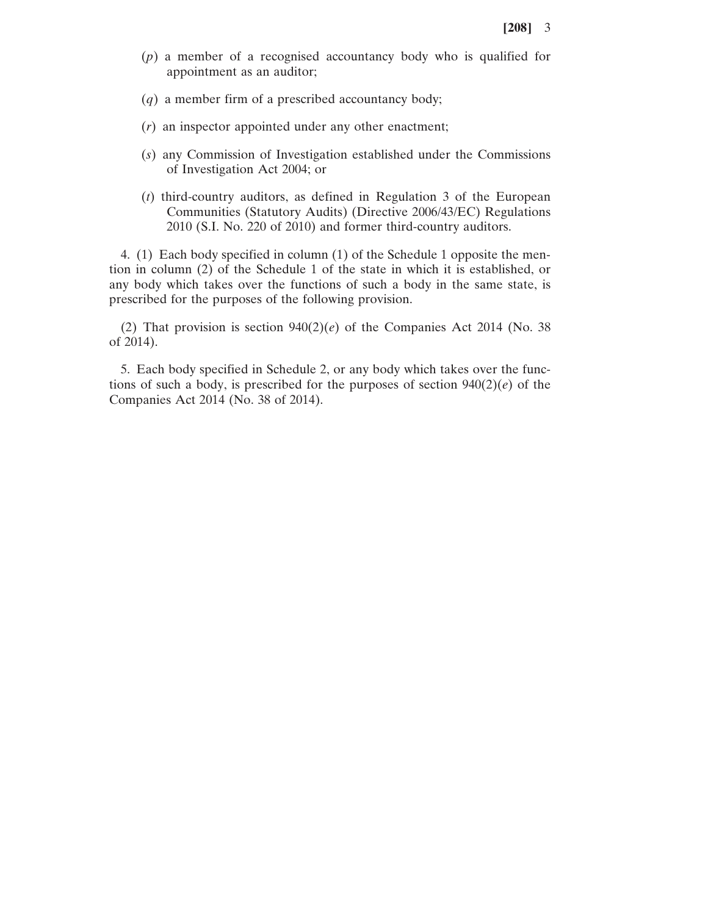- (*p*) a member of a recognised accountancy body who is qualified for appointment as an auditor;
- (*q*) a member firm of a prescribed accountancy body;
- (*r*) an inspector appointed under any other enactment;
- (*s*) any Commission of Investigation established under the Commissions of Investigation Act 2004; or
- (*t*) third-country auditors, as defined in Regulation 3 of the European Communities (Statutory Audits) (Directive 2006/43/EC) Regulations 2010 (S.I. No. 220 of 2010) and former third-country auditors.

4. (1) Each body specified in column (1) of the Schedule 1 opposite the mention in column (2) of the Schedule 1 of the state in which it is established, or any body which takes over the functions of such a body in the same state, is prescribed for the purposes of the following provision.

(2) That provision is section  $940(2)(e)$  of the Companies Act 2014 (No. 38) of 2014).

5. Each body specified in Schedule 2, or any body which takes over the functions of such a body, is prescribed for the purposes of section  $940(2)(e)$  of the Companies Act 2014 (No. 38 of 2014).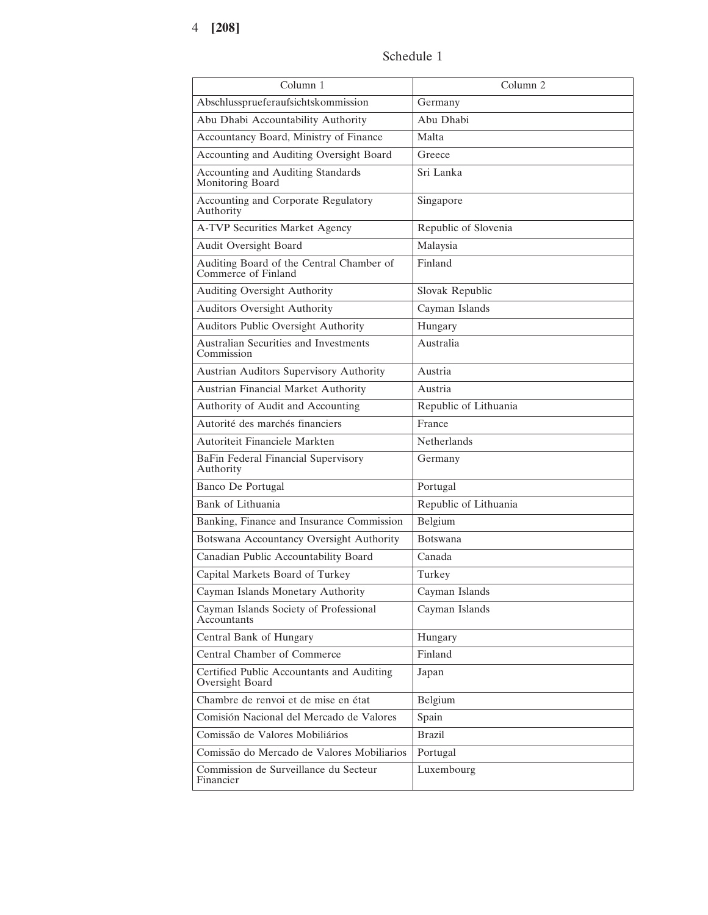## Schedule 1

| Column 1                                                        | Column <sub>2</sub>   |
|-----------------------------------------------------------------|-----------------------|
| Abschlussprueferaufsichtskommission                             | Germany               |
| Abu Dhabi Accountability Authority                              | Abu Dhabi             |
| Accountancy Board, Ministry of Finance                          | Malta                 |
| Accounting and Auditing Oversight Board                         | Greece                |
| Accounting and Auditing Standards<br>Monitoring Board           | Sri Lanka             |
| Accounting and Corporate Regulatory<br>Authority                | Singapore             |
| A-TVP Securities Market Agency                                  | Republic of Slovenia  |
| Audit Oversight Board                                           | Malaysia              |
| Auditing Board of the Central Chamber of<br>Commerce of Finland | Finland               |
| Auditing Oversight Authority                                    | Slovak Republic       |
| <b>Auditors Oversight Authority</b>                             | Cayman Islands        |
| <b>Auditors Public Oversight Authority</b>                      | Hungary               |
| Australian Securities and Investments<br>Commission             | Australia             |
| Austrian Auditors Supervisory Authority                         | Austria               |
| Austrian Financial Market Authority                             | Austria               |
| Authority of Audit and Accounting                               | Republic of Lithuania |
| Autorité des marchés financiers                                 | France                |
| Autoriteit Financiele Markten                                   | <b>Netherlands</b>    |
| BaFin Federal Financial Supervisory<br>Authority                | Germany               |
| Banco De Portugal                                               | Portugal              |
| Bank of Lithuania                                               | Republic of Lithuania |
| Banking, Finance and Insurance Commission                       | Belgium               |
| Botswana Accountancy Oversight Authority                        | <b>Botswana</b>       |
| Canadian Public Accountability Board                            | Canada                |
| Capital Markets Board of Turkey                                 | Turkey                |
| Cayman Islands Monetary Authority                               | Cayman Islands        |
| Cayman Islands Society of Professional<br>Accountants           | Cayman Islands        |
| Central Bank of Hungary                                         | Hungary               |
| Central Chamber of Commerce                                     | Finland               |
| Certified Public Accountants and Auditing<br>Oversight Board    | Japan                 |
| Chambre de renvoi et de mise en état                            | Belgium               |
| Comisión Nacional del Mercado de Valores                        | Spain                 |
| Comissão de Valores Mobiliários                                 | <b>Brazil</b>         |
| Comissão do Mercado de Valores Mobiliarios                      | Portugal              |
| Commission de Surveillance du Secteur<br>Financier              | Luxembourg            |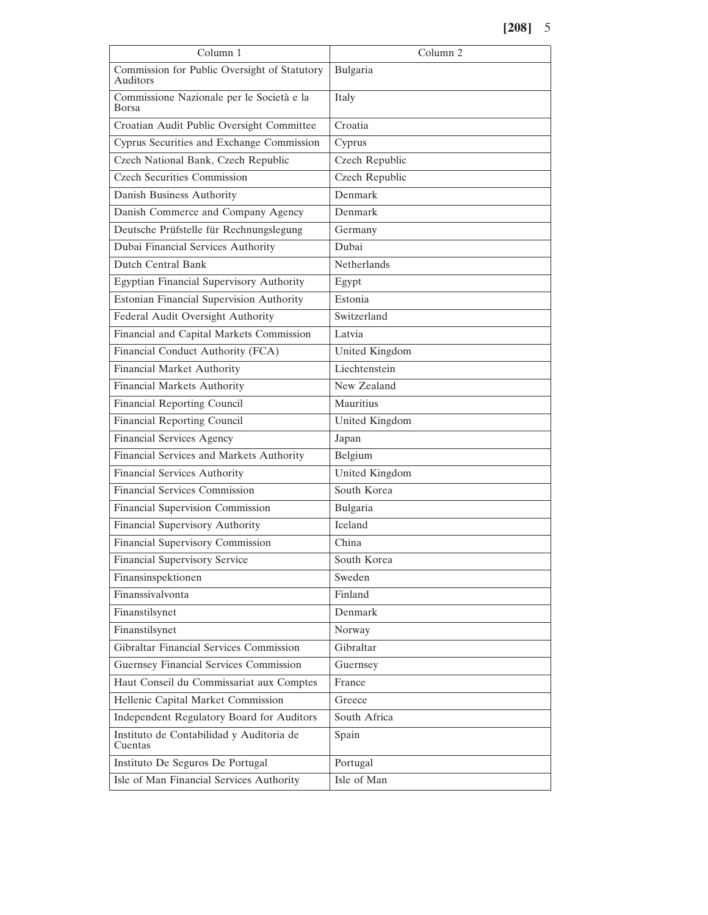| Column 1                                                  | Column <sub>2</sub> |
|-----------------------------------------------------------|---------------------|
| Commission for Public Oversight of Statutory<br>Auditors  | Bulgaria            |
| Commissione Nazionale per le Società e la<br><b>Borsa</b> | Italy               |
| Croatian Audit Public Oversight Committee                 | Croatia             |
| Cyprus Securities and Exchange Commission                 | Cyprus              |
| Czech National Bank, Czech Republic                       | Czech Republic      |
| <b>Czech Securities Commission</b>                        | Czech Republic      |
| Danish Business Authority                                 | Denmark             |
| Danish Commerce and Company Agency                        | Denmark             |
| Deutsche Prüfstelle für Rechnungslegung                   | Germany             |
| Dubai Financial Services Authority                        | Dubai               |
| <b>Dutch Central Bank</b>                                 | Netherlands         |
| Egyptian Financial Supervisory Authority                  | Egypt               |
| <b>Estonian Financial Supervision Authority</b>           | Estonia             |
| Federal Audit Oversight Authority                         | Switzerland         |
| Financial and Capital Markets Commission                  | Latvia              |
| Financial Conduct Authority (FCA)                         | United Kingdom      |
| <b>Financial Market Authority</b>                         | Liechtenstein       |
| Financial Markets Authority                               | New Zealand         |
| <b>Financial Reporting Council</b>                        | Mauritius           |
| <b>Financial Reporting Council</b>                        | United Kingdom      |
| <b>Financial Services Agency</b>                          | Japan               |
| Financial Services and Markets Authority                  | Belgium             |
| <b>Financial Services Authority</b>                       | United Kingdom      |
| <b>Financial Services Commission</b>                      | South Korea         |
| Financial Supervision Commission                          | Bulgaria            |
| Financial Supervisory Authority                           | Iceland             |
| Financial Supervisory Commission                          | China               |
| Financial Supervisory Service                             | South Korea         |
| Finansinspektionen                                        | Sweden              |
| Finanssivalvonta                                          | Finland             |
| Finanstilsynet                                            | Denmark             |
| Finanstilsynet                                            | Norway              |
| Gibraltar Financial Services Commission                   | Gibraltar           |
| Guernsey Financial Services Commission                    | Guernsey            |
| Haut Conseil du Commissariat aux Comptes                  | France              |
| Hellenic Capital Market Commission                        | Greece              |
| Independent Regulatory Board for Auditors                 | South Africa        |
| Instituto de Contabilidad y Auditoria de<br>Cuentas       | Spain               |
| Instituto De Seguros De Portugal                          | Portugal            |
| Isle of Man Financial Services Authority                  | Isle of Man         |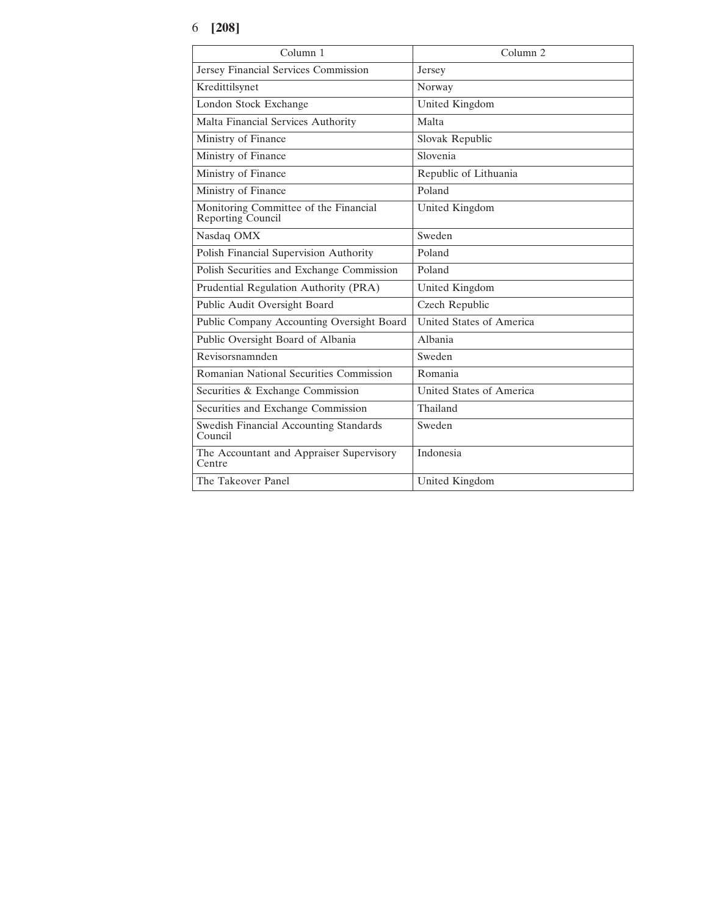## 6 **[208]**

| Column <sub>1</sub>                                        | Column <sub>2</sub>      |
|------------------------------------------------------------|--------------------------|
| Jersey Financial Services Commission                       | Jersey                   |
| Kredittilsynet                                             | Norway                   |
| London Stock Exchange                                      | United Kingdom           |
| Malta Financial Services Authority                         | Malta                    |
| Ministry of Finance                                        | Slovak Republic          |
| Ministry of Finance                                        | Slovenia                 |
| Ministry of Finance                                        | Republic of Lithuania    |
| Ministry of Finance                                        | Poland                   |
| Monitoring Committee of the Financial<br>Reporting Council | United Kingdom           |
| Nasdaq OMX                                                 | Sweden                   |
| Polish Financial Supervision Authority                     | Poland                   |
| Polish Securities and Exchange Commission                  | Poland                   |
| Prudential Regulation Authority (PRA)                      | United Kingdom           |
| Public Audit Oversight Board                               | Czech Republic           |
| Public Company Accounting Oversight Board                  | United States of America |
| Public Oversight Board of Albania                          | Albania                  |
| Revisorsnamnden                                            | Sweden                   |
| Romanian National Securities Commission                    | Romania                  |
| Securities & Exchange Commission                           | United States of America |
| Securities and Exchange Commission                         | Thailand                 |
| Swedish Financial Accounting Standards<br>Council          | Sweden                   |
| The Accountant and Appraiser Supervisory<br>Centre         | Indonesia                |
| The Takeover Panel                                         | United Kingdom           |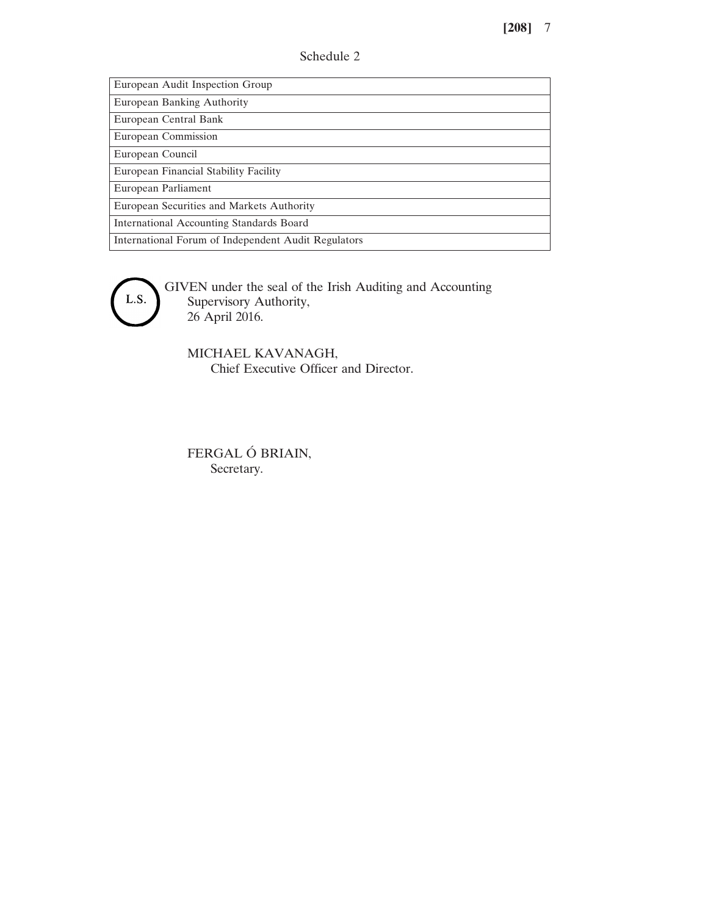| Schedule 2 |  |
|------------|--|
|------------|--|

European Audit Inspection Group

European Banking Authority

European Central Bank European Commission

European Council

European Financial Stability Facility

European Parliament

European Securities and Markets Authority

International Accounting Standards Board

International Forum of Independent Audit Regulators

L.S.

GIVEN under the seal of the Irish Auditing and Accounting Supervisory Authority, 26 April 2016.

MICHAEL KAVANAGH, Chief Executive Officer and Director.

FERGAL Ó BRIAIN, Secretary.